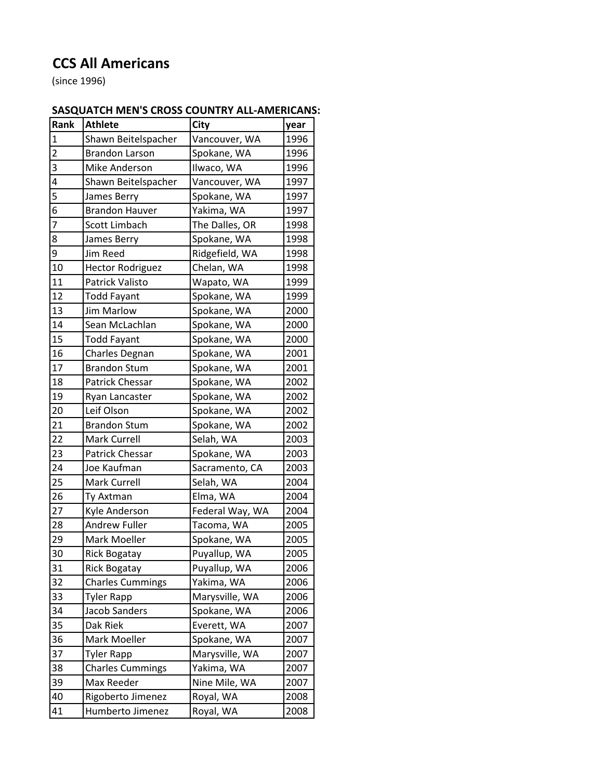## **CCS All Americans**

(since 1996)

## **SASQUATCH MEN'S CROSS COUNTRY ALL-AMERICANS:**

| Rank           | <b>Athlete</b>          | <b>City</b>     | year |
|----------------|-------------------------|-----------------|------|
| $\mathbf 1$    | Shawn Beitelspacher     | Vancouver, WA   | 1996 |
| $\overline{2}$ | <b>Brandon Larson</b>   | Spokane, WA     | 1996 |
| 3              | Mike Anderson           | Ilwaco, WA      | 1996 |
| 4              | Shawn Beitelspacher     | Vancouver, WA   | 1997 |
| 5              | James Berry             | Spokane, WA     | 1997 |
| 6              | <b>Brandon Hauver</b>   | Yakima, WA      | 1997 |
| 7              | Scott Limbach           | The Dalles, OR  | 1998 |
| 8              | James Berry             | Spokane, WA     | 1998 |
| 9              | Jim Reed                | Ridgefield, WA  | 1998 |
| 10             | <b>Hector Rodriguez</b> | Chelan, WA      | 1998 |
| 11             | Patrick Valisto         | Wapato, WA      | 1999 |
| 12             | <b>Todd Fayant</b>      | Spokane, WA     | 1999 |
| 13             | <b>Jim Marlow</b>       | Spokane, WA     | 2000 |
| 14             | Sean McLachlan          | Spokane, WA     | 2000 |
| 15             | <b>Todd Fayant</b>      | Spokane, WA     | 2000 |
| 16             | Charles Degnan          | Spokane, WA     | 2001 |
| 17             | <b>Brandon Stum</b>     | Spokane, WA     | 2001 |
| 18             | Patrick Chessar         | Spokane, WA     | 2002 |
| 19             | Ryan Lancaster          | Spokane, WA     | 2002 |
| 20             | Leif Olson              | Spokane, WA     | 2002 |
| 21             | <b>Brandon Stum</b>     | Spokane, WA     | 2002 |
| 22             | Mark Currell            | Selah, WA       | 2003 |
| 23             | Patrick Chessar         | Spokane, WA     | 2003 |
| 24             | Joe Kaufman             | Sacramento, CA  | 2003 |
| 25             | Mark Currell            | Selah, WA       | 2004 |
| 26             | Ty Axtman               | Elma, WA        | 2004 |
| 27             | Kyle Anderson           | Federal Way, WA | 2004 |
| 28             | <b>Andrew Fuller</b>    | Tacoma, WA      | 2005 |
| 29             | Mark Moeller            | Spokane, WA     | 2005 |
| 30             | <b>Rick Bogatay</b>     | Puyallup, WA    | 2005 |
| 31             | <b>Rick Bogatay</b>     | Puyallup, WA    | 2006 |
| 32             | <b>Charles Cummings</b> | Yakima, WA      | 2006 |
| 33             | <b>Tyler Rapp</b>       | Marysville, WA  | 2006 |
| 34             | Jacob Sanders           | Spokane, WA     | 2006 |
| 35             | Dak Riek                | Everett, WA     | 2007 |
| 36             | Mark Moeller            | Spokane, WA     | 2007 |
| 37             | <b>Tyler Rapp</b>       | Marysville, WA  | 2007 |
| 38             | <b>Charles Cummings</b> | Yakima, WA      | 2007 |
| 39             | Max Reeder              | Nine Mile, WA   | 2007 |
| 40             | Rigoberto Jimenez       | Royal, WA       | 2008 |
| 41             | Humberto Jimenez        | Royal, WA       | 2008 |